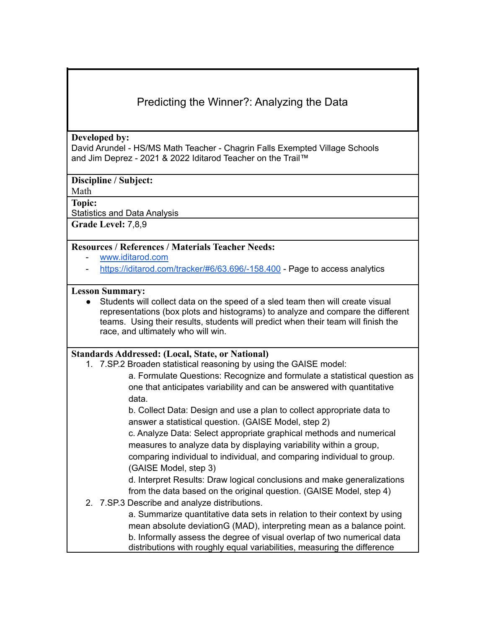# Predicting the Winner?: Analyzing the Data

#### **Developed by:**

David Arundel - HS/MS Math Teacher - Chagrin Falls Exempted Village Schools and Jim Deprez - 2021 & 2022 Iditarod Teacher on the Trail™

**Discipline / Subject:**

Math

**Topic:**

Statistics and Data Analysis

**Grade Level:** 7,8,9

#### **Resources / References / Materials Teacher Needs:**

- [www.iditarod.com](http://www.iditarod.com)
- <https://iditarod.com/tracker/#6/63.696/-158.400> Page to access analytics

#### **Lesson Summary:**

● Students will collect data on the speed of a sled team then will create visual representations (box plots and histograms) to analyze and compare the different teams. Using their results, students will predict when their team will finish the race, and ultimately who will win.

#### **Standards Addressed: (Local, State, or National)**

1. 7.SP.2 Broaden statistical reasoning by using the GAISE model:

a. Formulate Questions: Recognize and formulate a statistical question as one that anticipates variability and can be answered with quantitative data.

b. Collect Data: Design and use a plan to collect appropriate data to answer a statistical question. (GAISE Model, step 2)

c. Analyze Data: Select appropriate graphical methods and numerical measures to analyze data by displaying variability within a group, comparing individual to individual, and comparing individual to group. (GAISE Model, step 3)

d. Interpret Results: Draw logical conclusions and make generalizations from the data based on the original question. (GAISE Model, step 4)

2. 7.SP.3 Describe and analyze distributions.

a. Summarize quantitative data sets in relation to their context by using mean absolute deviationG (MAD), interpreting mean as a balance point. b. Informally assess the degree of visual overlap of two numerical data distributions with roughly equal variabilities, measuring the difference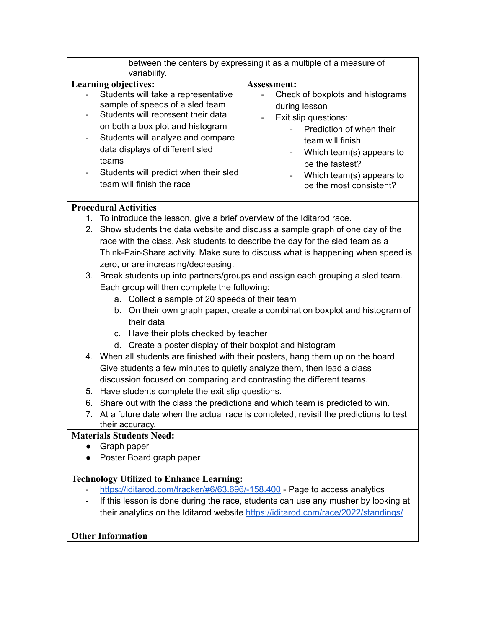| between the centers by expressing it as a multiple of a measure of<br>variability. |                                                                                                                                                                                                                                                                                                         |                                                                                                                                                                                                                                                             |  |
|------------------------------------------------------------------------------------|---------------------------------------------------------------------------------------------------------------------------------------------------------------------------------------------------------------------------------------------------------------------------------------------------------|-------------------------------------------------------------------------------------------------------------------------------------------------------------------------------------------------------------------------------------------------------------|--|
| <b>Learning objectives:</b>                                                        |                                                                                                                                                                                                                                                                                                         | <b>Assessment:</b>                                                                                                                                                                                                                                          |  |
|                                                                                    | Students will take a representative<br>sample of speeds of a sled team<br>Students will represent their data<br>on both a box plot and histogram<br>Students will analyze and compare<br>data displays of different sled<br>teams<br>Students will predict when their sled<br>team will finish the race | Check of boxplots and histograms<br>during lesson<br>Exit slip questions:<br>$\overline{\phantom{a}}$<br>Prediction of when their<br>team will finish<br>Which team(s) appears to<br>be the fastest?<br>Which team(s) appears to<br>be the most consistent? |  |
| <b>Procedural Activities</b>                                                       |                                                                                                                                                                                                                                                                                                         |                                                                                                                                                                                                                                                             |  |
| 1. To introduce the lesson, give a brief overview of the Iditarod race.            |                                                                                                                                                                                                                                                                                                         |                                                                                                                                                                                                                                                             |  |
|                                                                                    | 2. Show students the data website and discuss a sample graph of one day of the                                                                                                                                                                                                                          |                                                                                                                                                                                                                                                             |  |
|                                                                                    | race with the class. Ask students to describe the day for the sled team as a                                                                                                                                                                                                                            |                                                                                                                                                                                                                                                             |  |
|                                                                                    | Think-Pair-Share activity. Make sure to discuss what is happening when speed is                                                                                                                                                                                                                         |                                                                                                                                                                                                                                                             |  |
|                                                                                    | zero, or are increasing/decreasing.                                                                                                                                                                                                                                                                     |                                                                                                                                                                                                                                                             |  |
|                                                                                    | 3. Break students up into partners/groups and assign each grouping a sled team.                                                                                                                                                                                                                         |                                                                                                                                                                                                                                                             |  |
|                                                                                    | Each group will then complete the following:                                                                                                                                                                                                                                                            |                                                                                                                                                                                                                                                             |  |
|                                                                                    | a. Collect a sample of 20 speeds of their team                                                                                                                                                                                                                                                          |                                                                                                                                                                                                                                                             |  |
|                                                                                    | b. On their own graph paper, create a combination boxplot and histogram of                                                                                                                                                                                                                              |                                                                                                                                                                                                                                                             |  |
|                                                                                    | their data                                                                                                                                                                                                                                                                                              |                                                                                                                                                                                                                                                             |  |
|                                                                                    | c. Have their plots checked by teacher                                                                                                                                                                                                                                                                  |                                                                                                                                                                                                                                                             |  |
|                                                                                    | d. Create a poster display of their boxplot and histogram                                                                                                                                                                                                                                               |                                                                                                                                                                                                                                                             |  |
|                                                                                    | 4. When all students are finished with their posters, hang them up on the board.<br>Give students a few minutes to quietly analyze them, then lead a class<br>discussion focused on comparing and contrasting the different teams.                                                                      |                                                                                                                                                                                                                                                             |  |
|                                                                                    |                                                                                                                                                                                                                                                                                                         |                                                                                                                                                                                                                                                             |  |
|                                                                                    |                                                                                                                                                                                                                                                                                                         |                                                                                                                                                                                                                                                             |  |
|                                                                                    | 5. Have students complete the exit slip questions.                                                                                                                                                                                                                                                      |                                                                                                                                                                                                                                                             |  |
|                                                                                    | 6. Share out with the class the predictions and which team is predicted to win.                                                                                                                                                                                                                         |                                                                                                                                                                                                                                                             |  |
|                                                                                    | 7. At a future date when the actual race is completed, revisit the predictions to test<br>their accuracy.                                                                                                                                                                                               |                                                                                                                                                                                                                                                             |  |
| <b>Materials Students Need:</b>                                                    |                                                                                                                                                                                                                                                                                                         |                                                                                                                                                                                                                                                             |  |
|                                                                                    | Graph paper                                                                                                                                                                                                                                                                                             |                                                                                                                                                                                                                                                             |  |
| Poster Board graph paper                                                           |                                                                                                                                                                                                                                                                                                         |                                                                                                                                                                                                                                                             |  |
| <b>Technology Utilized to Enhance Learning:</b>                                    |                                                                                                                                                                                                                                                                                                         |                                                                                                                                                                                                                                                             |  |
| https://iditarod.com/tracker/#6/63.696/-158.400 - Page to access analytics         |                                                                                                                                                                                                                                                                                                         |                                                                                                                                                                                                                                                             |  |
|                                                                                    | If this lesson is done during the race, students can use any musher by looking at                                                                                                                                                                                                                       |                                                                                                                                                                                                                                                             |  |
|                                                                                    | their analytics on the Iditarod website https://iditarod.com/race/2022/standings/                                                                                                                                                                                                                       |                                                                                                                                                                                                                                                             |  |

## **Other Information**